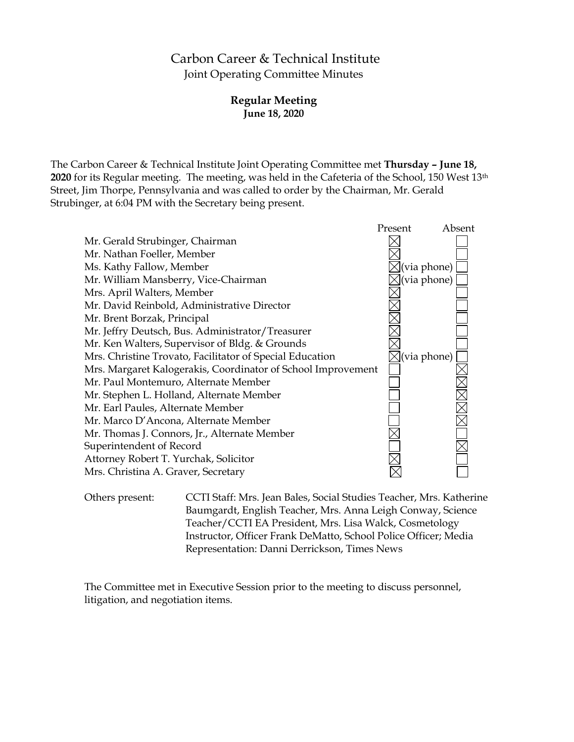# Carbon Career & Technical Institute Joint Operating Committee Minutes

### **Regular Meeting June 18, 2020**

The Carbon Career & Technical Institute Joint Operating Committee met **Thursday – June 18, 2020** for its Regular meeting. The meeting, was held in the Cafeteria of the School, 150 West 13th Street, Jim Thorpe, Pennsylvania and was called to order by the Chairman, Mr. Gerald Strubinger, at 6:04 PM with the Secretary being present.



Others present: CCTI Staff: Mrs. Jean Bales, Social Studies Teacher, Mrs. Katherine Baumgardt, English Teacher, Mrs. Anna Leigh Conway, Science Teacher/CCTI EA President, Mrs. Lisa Walck, Cosmetology Instructor, Officer Frank DeMatto, School Police Officer; Media Representation: Danni Derrickson, Times News

The Committee met in Executive Session prior to the meeting to discuss personnel, litigation, and negotiation items.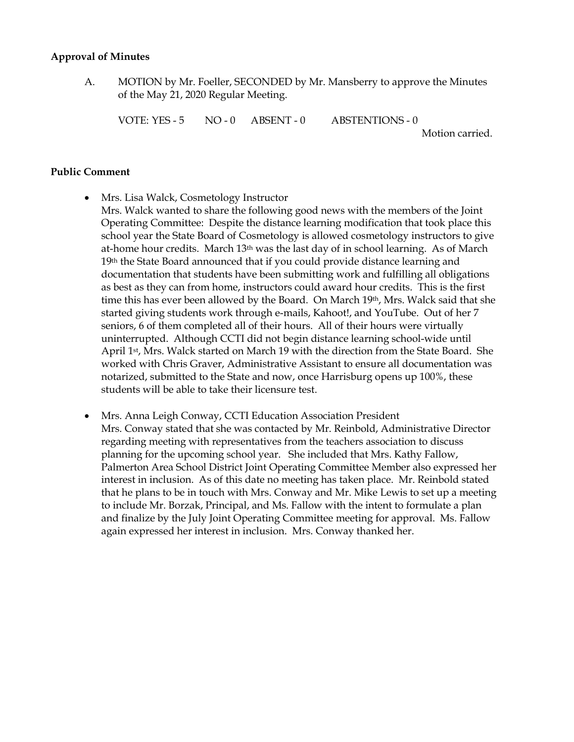#### **Approval of Minutes**

A. MOTION by Mr. Foeller, SECONDED by Mr. Mansberry to approve the Minutes of the May 21, 2020 Regular Meeting.

VOTE: YES - 5 NO - 0 ABSENT - 0 ABSTENTIONS - 0

Motion carried.

#### **Public Comment**

- Mrs. Lisa Walck, Cosmetology Instructor
	- Mrs. Walck wanted to share the following good news with the members of the Joint Operating Committee: Despite the distance learning modification that took place this school year the State Board of Cosmetology is allowed cosmetology instructors to give at-home hour credits. March 13th was the last day of in school learning. As of March 19th the State Board announced that if you could provide distance learning and documentation that students have been submitting work and fulfilling all obligations as best as they can from home, instructors could award hour credits. This is the first time this has ever been allowed by the Board. On March 19th, Mrs. Walck said that she started giving students work through e-mails, Kahoot!, and YouTube. Out of her 7 seniors, 6 of them completed all of their hours. All of their hours were virtually uninterrupted. Although CCTI did not begin distance learning school-wide until April 1st, Mrs. Walck started on March 19 with the direction from the State Board. She worked with Chris Graver, Administrative Assistant to ensure all documentation was notarized, submitted to the State and now, once Harrisburg opens up 100%, these students will be able to take their licensure test.
- Mrs. Anna Leigh Conway, CCTI Education Association President Mrs. Conway stated that she was contacted by Mr. Reinbold, Administrative Director regarding meeting with representatives from the teachers association to discuss planning for the upcoming school year. She included that Mrs. Kathy Fallow, Palmerton Area School District Joint Operating Committee Member also expressed her interest in inclusion. As of this date no meeting has taken place. Mr. Reinbold stated that he plans to be in touch with Mrs. Conway and Mr. Mike Lewis to set up a meeting to include Mr. Borzak, Principal, and Ms. Fallow with the intent to formulate a plan and finalize by the July Joint Operating Committee meeting for approval. Ms. Fallow again expressed her interest in inclusion. Mrs. Conway thanked her.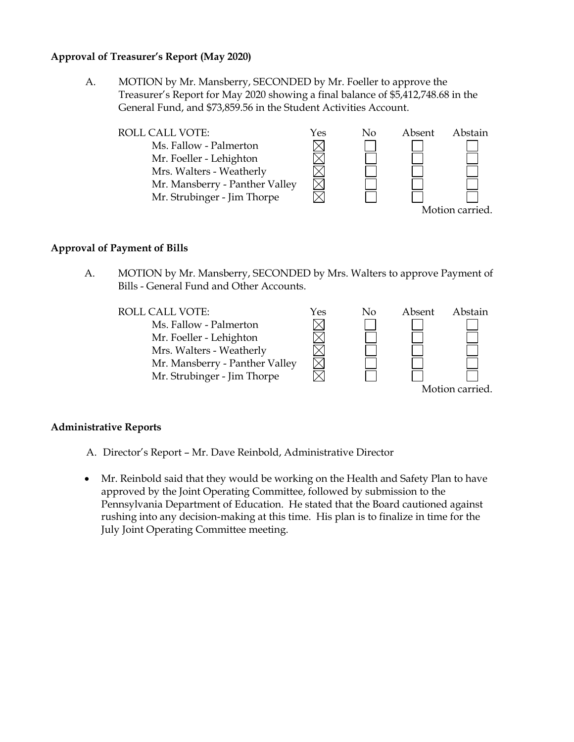#### **Approval of Treasurer's Report (May 2020)**

A. MOTION by Mr. Mansberry, SECONDED by Mr. Foeller to approve the Treasurer's Report for May 2020 showing a final balance of \$5,412,748.68 in the General Fund, and \$73,859.56 in the Student Activities Account.



#### **Approval of Payment of Bills**

A. MOTION by Mr. Mansberry, SECONDED by Mrs. Walters to approve Payment of Bills - General Fund and Other Accounts.



### **Administrative Reports**

- A. Director's Report Mr. Dave Reinbold, Administrative Director
- Mr. Reinbold said that they would be working on the Health and Safety Plan to have approved by the Joint Operating Committee, followed by submission to the Pennsylvania Department of Education. He stated that the Board cautioned against rushing into any decision-making at this time. His plan is to finalize in time for the July Joint Operating Committee meeting.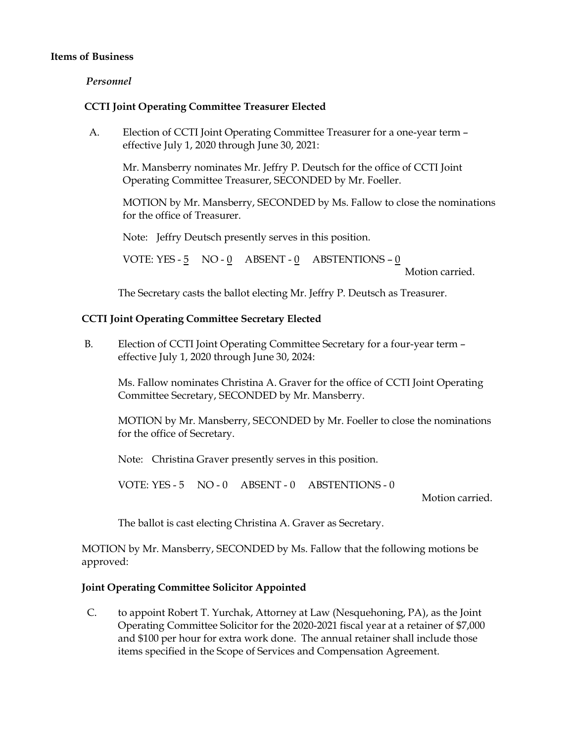#### **Items of Business**

#### *Personnel*

#### **CCTI Joint Operating Committee Treasurer Elected**

A. Election of CCTI Joint Operating Committee Treasurer for a one-year term – effective July 1, 2020 through June 30, 2021:

Mr. Mansberry nominates Mr. Jeffry P. Deutsch for the office of CCTI Joint Operating Committee Treasurer, SECONDED by Mr. Foeller.

MOTION by Mr. Mansberry, SECONDED by Ms. Fallow to close the nominations for the office of Treasurer.

Note: Jeffry Deutsch presently serves in this position.

VOTE: YES - 5 NO - 0 ABSENT - 0 ABSTENTIONS – 0

Motion carried.

The Secretary casts the ballot electing Mr. Jeffry P. Deutsch as Treasurer.

#### **CCTI Joint Operating Committee Secretary Elected**

B. Election of CCTI Joint Operating Committee Secretary for a four-year term – effective July 1, 2020 through June 30, 2024:

Ms. Fallow nominates Christina A. Graver for the office of CCTI Joint Operating Committee Secretary, SECONDED by Mr. Mansberry.

MOTION by Mr. Mansberry, SECONDED by Mr. Foeller to close the nominations for the office of Secretary.

Note: Christina Graver presently serves in this position.

VOTE: YES - 5 NO - 0 ABSENT - 0 ABSTENTIONS - 0

Motion carried.

The ballot is cast electing Christina A. Graver as Secretary.

MOTION by Mr. Mansberry, SECONDED by Ms. Fallow that the following motions be approved:

### **Joint Operating Committee Solicitor Appointed**

C. to appoint Robert T. Yurchak, Attorney at Law (Nesquehoning, PA), as the Joint Operating Committee Solicitor for the 2020-2021 fiscal year at a retainer of \$7,000 and \$100 per hour for extra work done. The annual retainer shall include those items specified in the Scope of Services and Compensation Agreement.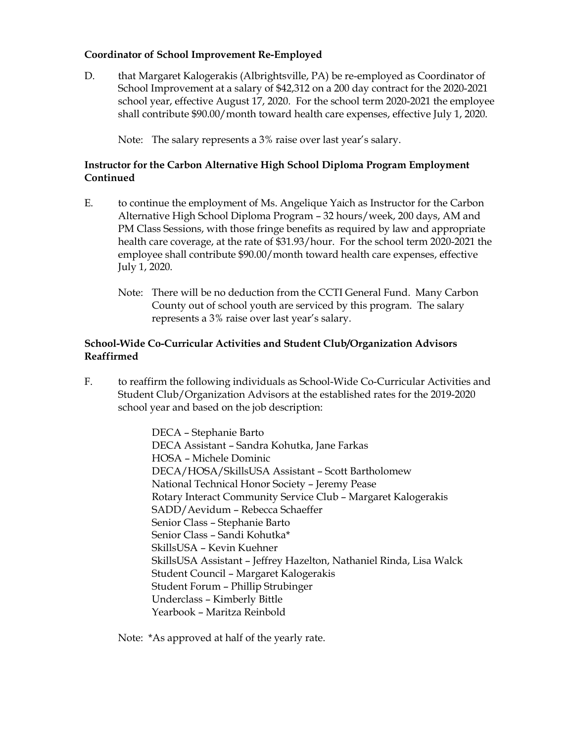### **Coordinator of School Improvement Re-Employed**

D. that Margaret Kalogerakis (Albrightsville, PA) be re-employed as Coordinator of School Improvement at a salary of \$42,312 on a 200 day contract for the 2020-2021 school year, effective August 17, 2020. For the school term 2020-2021 the employee shall contribute \$90.00/month toward health care expenses, effective July 1, 2020.

Note: The salary represents a 3% raise over last year's salary.

### **Instructor for the Carbon Alternative High School Diploma Program Employment Continued**

- E. to continue the employment of Ms. Angelique Yaich as Instructor for the Carbon Alternative High School Diploma Program – 32 hours/week, 200 days, AM and PM Class Sessions, with those fringe benefits as required by law and appropriate health care coverage, at the rate of \$31.93/hour. For the school term 2020-2021 the employee shall contribute \$90.00/month toward health care expenses, effective July 1, 2020.
	- Note: There will be no deduction from the CCTI General Fund. Many Carbon County out of school youth are serviced by this program. The salary represents a 3% raise over last year's salary.

#### **School-Wide Co-Curricular Activities and Student Club/Organization Advisors Reaffirmed**

F. to reaffirm the following individuals as School-Wide Co-Curricular Activities and Student Club/Organization Advisors at the established rates for the 2019-2020 school year and based on the job description:

> DECA – Stephanie Barto DECA Assistant – Sandra Kohutka, Jane Farkas HOSA – Michele Dominic DECA/HOSA/SkillsUSA Assistant – Scott Bartholomew National Technical Honor Society – Jeremy Pease Rotary Interact Community Service Club – Margaret Kalogerakis SADD/Aevidum – Rebecca Schaeffer Senior Class – Stephanie Barto Senior Class – Sandi Kohutka\* SkillsUSA – Kevin Kuehner SkillsUSA Assistant – Jeffrey Hazelton, Nathaniel Rinda, Lisa Walck Student Council – Margaret Kalogerakis Student Forum – Phillip Strubinger Underclass – Kimberly Bittle Yearbook – Maritza Reinbold

Note: \*As approved at half of the yearly rate.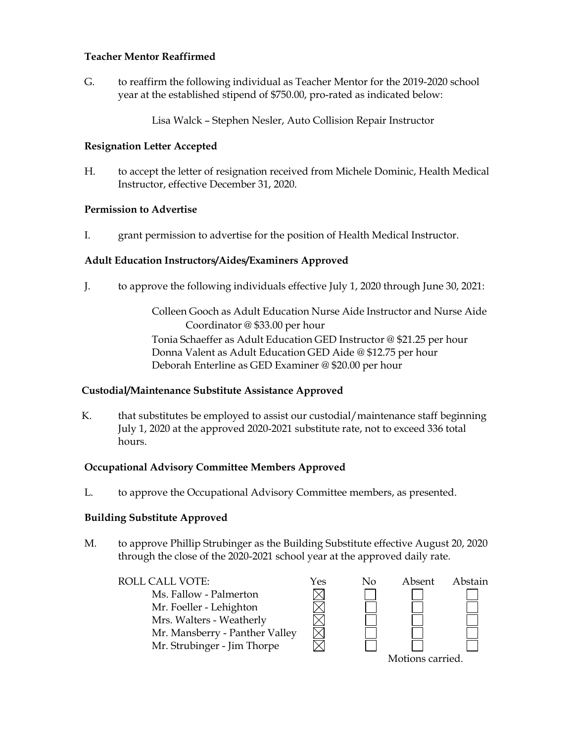### **Teacher Mentor Reaffirmed**

G. to reaffirm the following individual as Teacher Mentor for the 2019-2020 school year at the established stipend of \$750.00, pro-rated as indicated below:

Lisa Walck – Stephen Nesler, Auto Collision Repair Instructor

### **Resignation Letter Accepted**

H. to accept the letter of resignation received from Michele Dominic, Health Medical Instructor, effective December 31, 2020.

# **Permission to Advertise**

I. grant permission to advertise for the position of Health Medical Instructor.

# **Adult Education Instructors/Aides/Examiners Approved**

J. to approve the following individuals effective July 1, 2020 through June 30, 2021:

Colleen Gooch as Adult Education Nurse Aide Instructor and Nurse Aide Coordinator @ \$33.00 per hour Tonia Schaeffer as Adult Education GED Instructor @ \$21.25 per hour Donna Valent as Adult Education GED Aide @ \$12.75 per hour Deborah Enterline as GED Examiner @ \$20.00 per hour

### **Custodial/Maintenance Substitute Assistance Approved**

K. that substitutes be employed to assist our custodial/maintenance staff beginning July 1, 2020 at the approved 2020-2021 substitute rate, not to exceed 336 total hours.

### **Occupational Advisory Committee Members Approved**

L. to approve the Occupational Advisory Committee members, as presented.

### **Building Substitute Approved**

M. to approve Phillip Strubinger as the Building Substitute effective August 20, 2020 through the close of the 2020-2021 school year at the approved daily rate.

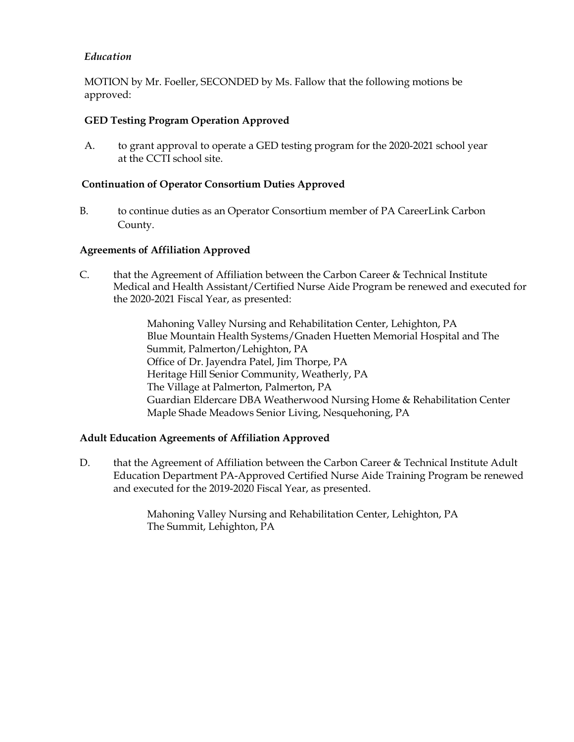# *Education*

MOTION by Mr. Foeller, SECONDED by Ms. Fallow that the following motions be approved:

### **GED Testing Program Operation Approved**

A. to grant approval to operate a GED testing program for the 2020-2021 school year at the CCTI school site.

### **Continuation of Operator Consortium Duties Approved**

B. to continue duties as an Operator Consortium member of PA CareerLink Carbon County.

### **Agreements of Affiliation Approved**

C. that the Agreement of Affiliation between the Carbon Career & Technical Institute Medical and Health Assistant/Certified Nurse Aide Program be renewed and executed for the 2020-2021 Fiscal Year, as presented:

> Mahoning Valley Nursing and Rehabilitation Center, Lehighton, PA Blue Mountain Health Systems/Gnaden Huetten Memorial Hospital and The Summit, Palmerton/Lehighton, PA Office of Dr. Jayendra Patel, Jim Thorpe, PA Heritage Hill Senior Community, Weatherly, PA The Village at Palmerton, Palmerton, PA Guardian Eldercare DBA Weatherwood Nursing Home & Rehabilitation Center Maple Shade Meadows Senior Living, Nesquehoning, PA

### **Adult Education Agreements of Affiliation Approved**

D. that the Agreement of Affiliation between the Carbon Career & Technical Institute Adult Education Department PA-Approved Certified Nurse Aide Training Program be renewed and executed for the 2019-2020 Fiscal Year, as presented.

> Mahoning Valley Nursing and Rehabilitation Center, Lehighton, PA The Summit, Lehighton, PA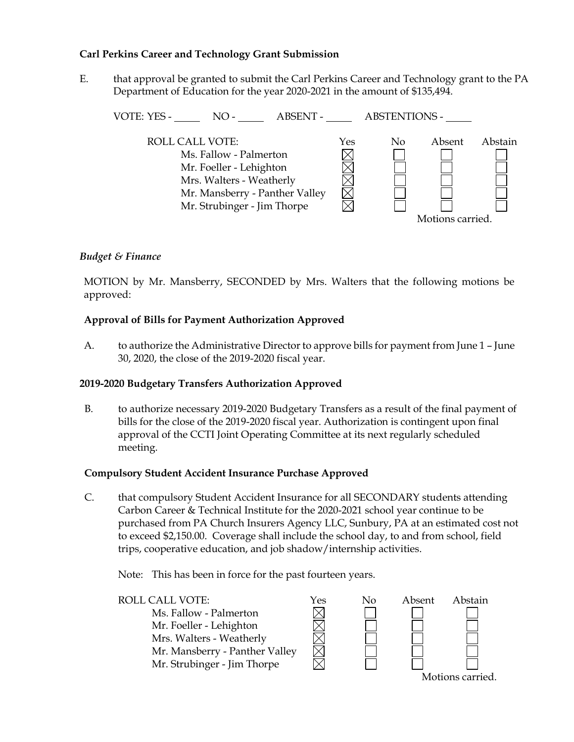### **Carl Perkins Career and Technology Grant Submission**

E. that approval be granted to submit the Carl Perkins Career and Technology grant to the PA Department of Education for the year 2020-2021 in the amount of \$135,494.

| VOTE: YES -<br><b>ABSENT -</b><br>$NO-$                                                                                                                                  |     | <b>ABSTENTIONS -</b> |                            |         |
|--------------------------------------------------------------------------------------------------------------------------------------------------------------------------|-----|----------------------|----------------------------|---------|
| <b>ROLL CALL VOTE:</b><br>Ms. Fallow - Palmerton<br>Mr. Foeller - Lehighton<br>Mrs. Walters - Weatherly<br>Mr. Mansberry - Panther Valley<br>Mr. Strubinger - Jim Thorpe | Yes | No                   | Absent<br>Motions carried. | Abstain |
|                                                                                                                                                                          |     |                      |                            |         |

### *Budget & Finance*

MOTION by Mr. Mansberry, SECONDED by Mrs. Walters that the following motions be approved:

### **Approval of Bills for Payment Authorization Approved**

A. to authorize the Administrative Director to approve bills for payment from June 1 – June 30, 2020, the close of the 2019-2020 fiscal year.

### **2019-2020 Budgetary Transfers Authorization Approved**

B. to authorize necessary 2019-2020 Budgetary Transfers as a result of the final payment of bills for the close of the 2019-2020 fiscal year. Authorization is contingent upon final approval of the CCTI Joint Operating Committee at its next regularly scheduled meeting.

#### **Compulsory Student Accident Insurance Purchase Approved**

C. that compulsory Student Accident Insurance for all SECONDARY students attending Carbon Career & Technical Institute for the 2020-2021 school year continue to be purchased from PA Church Insurers Agency LLC, Sunbury, PA at an estimated cost not to exceed \$2,150.00. Coverage shall include the school day, to and from school, field trips, cooperative education, and job shadow/internship activities.

Note: This has been in force for the past fourteen years.



Motions carried.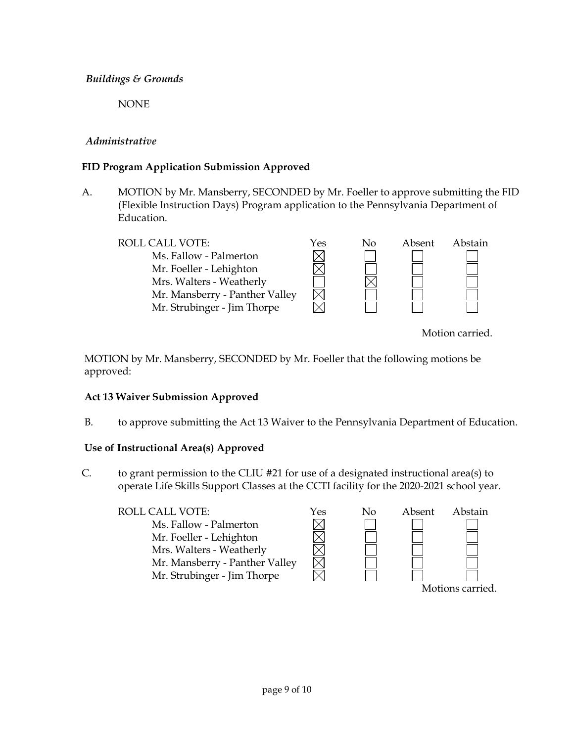# *Buildings & Grounds*

NONE

# *Administrative*

# **FID Program Application Submission Approved**

A. MOTION by Mr. Mansberry, SECONDED by Mr. Foeller to approve submitting the FID (Flexible Instruction Days) Program application to the Pennsylvania Department of Education.

ROLL CALL VOTE:  $\gamma$ es No Absent Abstain  $\boxtimes$ Ms. Fallow - Palmerton Mr. Foeller - Lehighton Mrs. Walters - Weatherly Mr. Mansberry - Panther Valley Mr. Strubinger - Jim Thorpe

Motion carried.

MOTION by Mr. Mansberry, SECONDED by Mr. Foeller that the following motions be approved:

### **Act 13 Waiver Submission Approved**

B. to approve submitting the Act 13 Waiver to the Pennsylvania Department of Education.

# **Use of Instructional Area(s) Approved**

C. to grant permission to the CLIU #21 for use of a designated instructional area(s) to operate Life Skills Support Classes at the CCTI facility for the 2020-2021 school year.